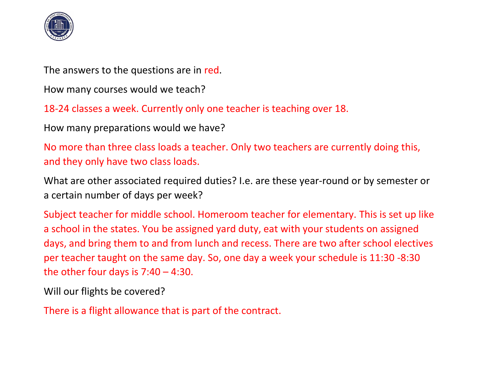

The answers to the questions are in red.

How many courses would we teach?

18-24 classes a week. Currently only one teacher is teaching over 18.

How many preparations would we have?

No more than three class loads a teacher. Only two teachers are currently doing this, and they only have two class loads.

What are other associated required duties? I.e. are these year-round or by semester or a certain number of days per week?

Subject teacher for middle school. Homeroom teacher for elementary. This is set up like a school in the states. You be assigned yard duty, eat with your students on assigned days, and bring them to and from lunch and recess. There are two after school electives per teacher taught on the same day. So, one day a week your schedule is 11:30 -8:30 the other four days is  $7:40 - 4:30$ .

Will our flights be covered?

There is a flight allowance that is part of the contract.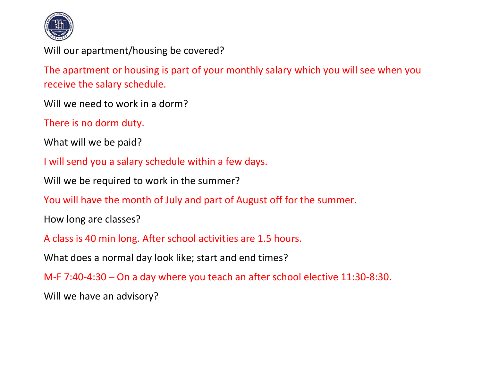

Will our apartment/housing be covered?

The apartment or housing is part of your monthly salary which you will see when you receive the salary schedule.

Will we need to work in a dorm?

There is no dorm duty.

What will we be paid?

I will send you a salary schedule within a few days.

Will we be required to work in the summer?

You will have the month of July and part of August off for the summer.

How long are classes?

A class is 40 min long. After school activities are 1.5 hours.

What does a normal day look like; start and end times?

M-F 7:40-4:30 – On a day where you teach an after school elective 11:30-8:30.

Will we have an advisory?